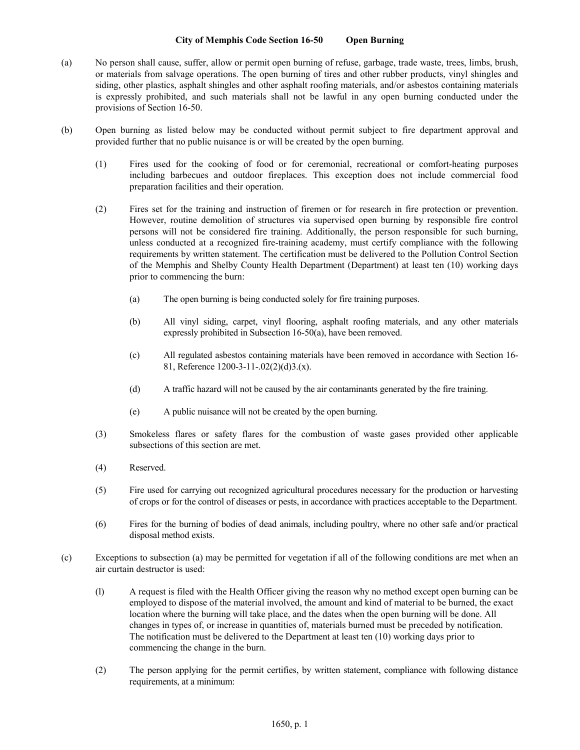## **City of Memphis Code Section 16-50 Open Burning**

- (a) No person shall cause, suffer, allow or permit open burning of refuse, garbage, trade waste, trees, limbs, brush, or materials from salvage operations. The open burning of tires and other rubber products, vinyl shingles and siding, other plastics, asphalt shingles and other asphalt roofing materials, and/or asbestos containing materials is expressly prohibited, and such materials shall not be lawful in any open burning conducted under the provisions of Section 16-50.
- (b) Open burning as listed below may be conducted without permit subject to fire department approval and provided further that no public nuisance is or will be created by the open burning.
	- (1) Fires used for the cooking of food or for ceremonial, recreational or comfort-heating purposes including barbecues and outdoor fireplaces. This exception does not include commercial food preparation facilities and their operation.
	- (2) Fires set for the training and instruction of firemen or for research in fire protection or prevention. However, routine demolition of structures via supervised open burning by responsible fire control persons will not be considered fire training. Additionally, the person responsible for such burning, unless conducted at a recognized fire-training academy, must certify compliance with the following requirements by written statement. The certification must be delivered to the Pollution Control Section of the Memphis and Shelby County Health Department (Department) at least ten (10) working days prior to commencing the burn:
		- (a) The open burning is being conducted solely for fire training purposes.
		- (b) All vinyl siding, carpet, vinyl flooring, asphalt roofing materials, and any other materials expressly prohibited in Subsection 16-50(a), have been removed.
		- (c) All regulated asbestos containing materials have been removed in accordance with Section 16- 81, Reference 1200-3-11-.02(2)(d)3.(x).
		- (d) A traffic hazard will not be caused by the air contaminants generated by the fire training.
		- (e) A public nuisance will not be created by the open burning.
	- (3) Smokeless flares or safety flares for the combustion of waste gases provided other applicable subsections of this section are met.
	- (4) Reserved.
	- (5) Fire used for carrying out recognized agricultural procedures necessary for the production or harvesting of crops or for the control of diseases or pests, in accordance with practices acceptable to the Department.
	- (6) Fires for the burning of bodies of dead animals, including poultry, where no other safe and/or practical disposal method exists.
- (c) Exceptions to subsection (a) may be permitted for vegetation if all of the following conditions are met when an air curtain destructor is used:
	- (l) A request is filed with the Health Officer giving the reason why no method except open burning can be employed to dispose of the material involved, the amount and kind of material to be burned, the exact location where the burning will take place, and the dates when the open burning will be done. All changes in types of, or increase in quantities of, materials burned must be preceded by notification. The notification must be delivered to the Department at least ten (10) working days prior to commencing the change in the burn.
	- (2) The person applying for the permit certifies, by written statement, compliance with following distance requirements, at a minimum: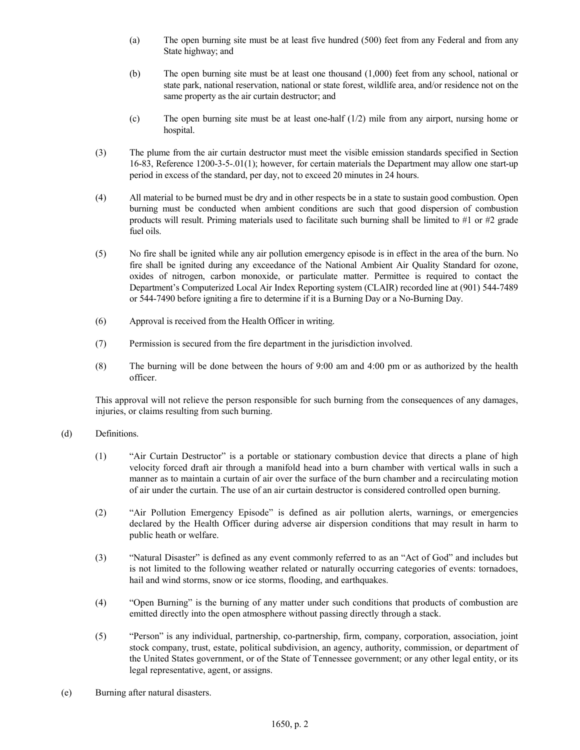- (a) The open burning site must be at least five hundred (500) feet from any Federal and from any State highway; and
- (b) The open burning site must be at least one thousand (1,000) feet from any school, national or state park, national reservation, national or state forest, wildlife area, and/or residence not on the same property as the air curtain destructor; and
- (c) The open burning site must be at least one-half (1/2) mile from any airport, nursing home or hospital.
- (3) The plume from the air curtain destructor must meet the visible emission standards specified in Section 16-83, Reference 1200-3-5-.01(1); however, for certain materials the Department may allow one start-up period in excess of the standard, per day, not to exceed 20 minutes in 24 hours.
- (4) All material to be burned must be dry and in other respects be in a state to sustain good combustion. Open burning must be conducted when ambient conditions are such that good dispersion of combustion products will result. Priming materials used to facilitate such burning shall be limited to #1 or #2 grade fuel oils.
- (5) No fire shall be ignited while any air pollution emergency episode is in effect in the area of the burn. No fire shall be ignited during any exceedance of the National Ambient Air Quality Standard for ozone, oxides of nitrogen, carbon monoxide, or particulate matter. Permittee is required to contact the Department's Computerized Local Air Index Reporting system (CLAIR) recorded line at (901) 544-7489 or 544-7490 before igniting a fire to determine if it is a Burning Day or a No-Burning Day.
- (6) Approval is received from the Health Officer in writing.
- (7) Permission is secured from the fire department in the jurisdiction involved.
- (8) The burning will be done between the hours of 9:00 am and 4:00 pm or as authorized by the health officer.

This approval will not relieve the person responsible for such burning from the consequences of any damages, injuries, or claims resulting from such burning.

## (d) Definitions.

- (1) "Air Curtain Destructor" is a portable or stationary combustion device that directs a plane of high velocity forced draft air through a manifold head into a burn chamber with vertical walls in such a manner as to maintain a curtain of air over the surface of the burn chamber and a recirculating motion of air under the curtain. The use of an air curtain destructor is considered controlled open burning.
- (2) "Air Pollution Emergency Episode" is defined as air pollution alerts, warnings, or emergencies declared by the Health Officer during adverse air dispersion conditions that may result in harm to public heath or welfare.
- (3) "Natural Disaster" is defined as any event commonly referred to as an "Act of God" and includes but is not limited to the following weather related or naturally occurring categories of events: tornadoes, hail and wind storms, snow or ice storms, flooding, and earthquakes.
- (4) "Open Burning" is the burning of any matter under such conditions that products of combustion are emitted directly into the open atmosphere without passing directly through a stack.
- (5) "Person" is any individual, partnership, co-partnership, firm, company, corporation, association, joint stock company, trust, estate, political subdivision, an agency, authority, commission, or department of the United States government, or of the State of Tennessee government; or any other legal entity, or its legal representative, agent, or assigns.
- (e) Burning after natural disasters.